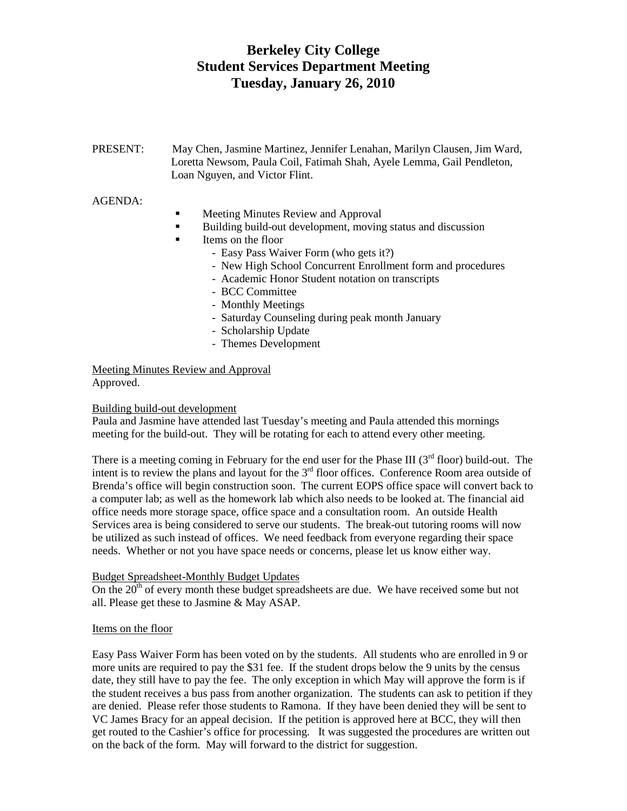# **Berkeley City College Student Services Department Meeting Tuesday, January 26, 2010**

PRESENT: May Chen, Jasmine Martinez, Jennifer Lenahan, Marilyn Clausen, Jim Ward, Loretta Newsom, Paula Coil, Fatimah Shah, Ayele Lemma, Gail Pendleton, Loan Nguyen, and Victor Flint.

#### AGENDA:

- **Meeting Minutes Review and Approval**
- Building build-out development, moving status and discussion
- **I** Items on the floor
	- Easy Pass Waiver Form (who gets it?)
	- New High School Concurrent Enrollment form and procedures
	- Academic Honor Student notation on transcripts
	- BCC Committee
	- Monthly Meetings
	- Saturday Counseling during peak month January
	- Scholarship Update
	- Themes Development

Meeting Minutes Review and Approval Approved.

#### Building build-out development

Paula and Jasmine have attended last Tuesday's meeting and Paula attended this mornings meeting for the build-out. They will be rotating for each to attend every other meeting.

There is a meeting coming in February for the end user for the Phase III ( $3<sup>rd</sup>$  floor) build-out. The intent is to review the plans and layout for the  $3<sup>rd</sup>$  floor offices. Conference Room area outside of Brenda's office will begin construction soon. The current EOPS office space will convert back to a computer lab; as well as the homework lab which also needs to be looked at. The financial aid office needs more storage space, office space and a consultation room. An outside Health Services area is being considered to serve our students. The break-out tutoring rooms will now be utilized as such instead of offices. We need feedback from everyone regarding their space needs. Whether or not you have space needs or concerns, please let us know either way.

### Budget Spreadsheet-Monthly Budget Updates

On the  $20<sup>th</sup>$  of every month these budget spreadsheets are due. We have received some but not all. Please get these to Jasmine & May ASAP.

#### Items on the floor

Easy Pass Waiver Form has been voted on by the students. All students who are enrolled in 9 or more units are required to pay the \$31 fee. If the student drops below the 9 units by the census date, they still have to pay the fee. The only exception in which May will approve the form is if the student receives a bus pass from another organization. The students can ask to petition if they are denied. Please refer those students to Ramona. If they have been denied they will be sent to VC James Bracy for an appeal decision. If the petition is approved here at BCC, they will then get routed to the Cashier's office for processing. It was suggested the procedures are written out on the back of the form. May will forward to the district for suggestion.